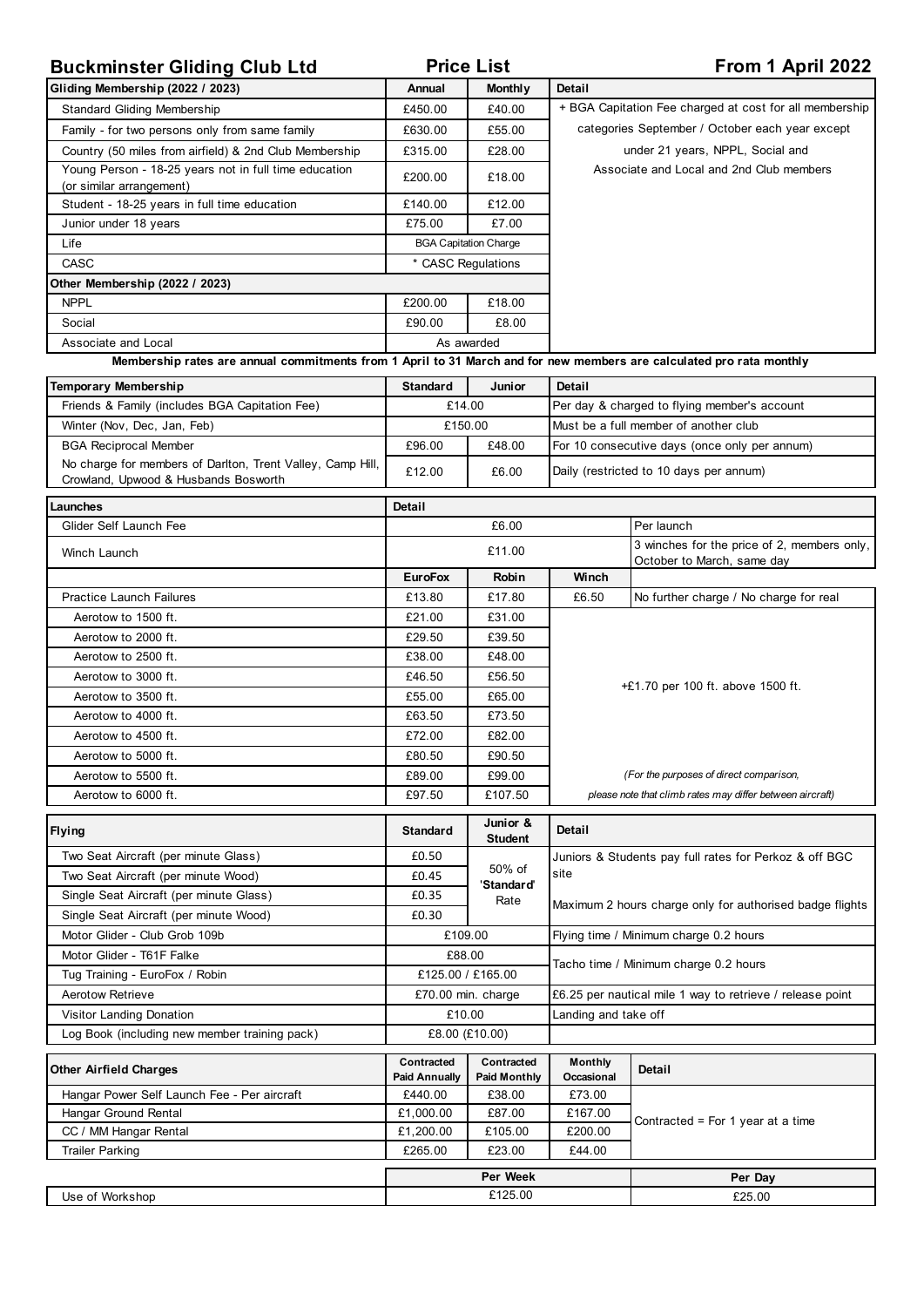| <b>Buckminster Gliding Club Ltd</b>                                                                                  | <b>Price List</b>                  |                                   | From 1 April 2022                                                                                          |                                                                           |  |
|----------------------------------------------------------------------------------------------------------------------|------------------------------------|-----------------------------------|------------------------------------------------------------------------------------------------------------|---------------------------------------------------------------------------|--|
| Gliding Membership (2022 / 2023)                                                                                     | Annual                             | <b>Monthly</b>                    | <b>Detail</b>                                                                                              |                                                                           |  |
| <b>Standard Gliding Membership</b>                                                                                   | £450.00                            | £40.00                            | + BGA Capitation Fee charged at cost for all membership<br>categories September / October each year except |                                                                           |  |
| Family - for two persons only from same family                                                                       | £630.00                            | £55.00                            |                                                                                                            |                                                                           |  |
| Country (50 miles from airfield) & 2nd Club Membership                                                               | £315.00                            | £28.00                            | under 21 years, NPPL, Social and<br>Associate and Local and 2nd Club members                               |                                                                           |  |
| Young Person - 18-25 years not in full time education                                                                | £200.00                            | £18.00                            |                                                                                                            |                                                                           |  |
| (or similar arrangement)                                                                                             |                                    |                                   |                                                                                                            |                                                                           |  |
| Student - 18-25 years in full time education                                                                         | £140.00                            | £12.00                            |                                                                                                            |                                                                           |  |
| Junior under 18 years                                                                                                | £75.00                             | £7.00                             |                                                                                                            |                                                                           |  |
| Life                                                                                                                 |                                    | <b>BGA Capitation Charge</b>      |                                                                                                            |                                                                           |  |
| CASC                                                                                                                 |                                    | * CASC Regulations                |                                                                                                            |                                                                           |  |
| Other Membership (2022 / 2023)<br><b>NPPL</b>                                                                        | £200.00                            | £18.00                            |                                                                                                            |                                                                           |  |
| Social                                                                                                               | £90.00                             | £8.00                             |                                                                                                            |                                                                           |  |
| Associate and Local                                                                                                  |                                    | As awarded                        |                                                                                                            |                                                                           |  |
| Membership rates are annual commitments from 1 April to 31 March and for new members are calculated pro rata monthly |                                    |                                   |                                                                                                            |                                                                           |  |
|                                                                                                                      |                                    |                                   |                                                                                                            |                                                                           |  |
| Temporary Membership<br>Friends & Family (includes BGA Capitation Fee)                                               | <b>Standard</b><br>£14.00          | Junior                            | <b>Detail</b>                                                                                              |                                                                           |  |
| Winter (Nov, Dec, Jan, Feb)                                                                                          |                                    | £150.00                           | Per day & charged to flying member's account<br>Must be a full member of another club                      |                                                                           |  |
| <b>BGA Reciprocal Member</b>                                                                                         | £96.00                             | £48.00                            | For 10 consecutive days (once only per annum)                                                              |                                                                           |  |
| No charge for members of Darlton, Trent Valley, Camp Hill,                                                           |                                    |                                   |                                                                                                            |                                                                           |  |
| Crowland, Upwood & Husbands Bosworth                                                                                 | £12.00                             | £6.00                             |                                                                                                            | Daily (restricted to 10 days per annum)                                   |  |
| Launches                                                                                                             | <b>Detail</b>                      |                                   |                                                                                                            |                                                                           |  |
| Glider Self Launch Fee                                                                                               |                                    | £6.00                             |                                                                                                            | Per launch                                                                |  |
| Winch Launch                                                                                                         |                                    | £11.00                            |                                                                                                            | 3 winches for the price of 2, members only,<br>October to March, same day |  |
|                                                                                                                      | <b>EuroFox</b>                     | Robin                             | Winch                                                                                                      |                                                                           |  |
| <b>Practice Launch Failures</b>                                                                                      | £13.80                             | £17.80                            | £6.50                                                                                                      | No further charge / No charge for real                                    |  |
| Aerotow to 1500 ft.                                                                                                  | £21.00                             | £31.00                            |                                                                                                            |                                                                           |  |
| Aerotow to 2000 ft.                                                                                                  | £29.50                             | £39.50                            |                                                                                                            |                                                                           |  |
| Aerotow to 2500 ft.                                                                                                  | £38.00                             | £48.00                            |                                                                                                            |                                                                           |  |
| Aerotow to 3000 ft.                                                                                                  | £46.50                             | £56.50                            | +£1.70 per 100 ft. above 1500 ft.                                                                          |                                                                           |  |
| Aerotow to 3500 ft.                                                                                                  | £55.00                             | £65.00                            |                                                                                                            |                                                                           |  |
| Aerotow to 4000 ft.                                                                                                  | £63.50                             | £73.50                            |                                                                                                            |                                                                           |  |
| Aerotow to 4500 ft.                                                                                                  | £72.00                             | £82.00                            |                                                                                                            |                                                                           |  |
| Aerotow to 5000 ft.                                                                                                  | £80.50                             | £90.50                            |                                                                                                            |                                                                           |  |
| Aerotow to 5500 ft.                                                                                                  | £89.00                             | £99.00                            | (For the purposes of direct comparison,<br>please note that climb rates may differ between aircraft)       |                                                                           |  |
| Aerotow to 6000 ft.                                                                                                  | £97.50                             | £107.50                           |                                                                                                            |                                                                           |  |
| <b>Flying</b>                                                                                                        | <b>Standard</b>                    | Junior &<br><b>Student</b>        | Detail                                                                                                     |                                                                           |  |
| Two Seat Aircraft (per minute Glass)                                                                                 | £0.50                              |                                   | Juniors & Students pay full rates for Perkoz & off BGC                                                     |                                                                           |  |
| Two Seat Aircraft (per minute Wood)                                                                                  | £0.45                              | 50% of<br>'Standard'              | site                                                                                                       |                                                                           |  |
| Single Seat Aircraft (per minute Glass)                                                                              | £0.35                              | Rate                              | Maximum 2 hours charge only for authorised badge flights                                                   |                                                                           |  |
| Single Seat Aircraft (per minute Wood)                                                                               | £0.30                              |                                   |                                                                                                            |                                                                           |  |
| Motor Glider - Club Grob 109b                                                                                        | £109.00                            |                                   | Flying time / Minimum charge 0.2 hours                                                                     |                                                                           |  |
| Motor Glider - T61F Falke                                                                                            |                                    | £88.00                            |                                                                                                            | Tacho time / Minimum charge 0.2 hours                                     |  |
| Tug Training - EuroFox / Robin                                                                                       | £125.00 / £165.00                  |                                   |                                                                                                            |                                                                           |  |
| <b>Aerotow Retrieve</b>                                                                                              | £70.00 min. charge                 |                                   | £6.25 per nautical mile 1 way to retrieve / release point                                                  |                                                                           |  |
| Visitor Landing Donation                                                                                             | £10.00<br>Landing and take off     |                                   |                                                                                                            |                                                                           |  |
| Log Book (including new member training pack)                                                                        |                                    | £8.00 (£10.00)                    |                                                                                                            |                                                                           |  |
| <b>Other Airfield Charges</b>                                                                                        | Contracted<br><b>Paid Annually</b> | Contracted<br><b>Paid Monthly</b> | <b>Monthly</b><br>Occasional                                                                               | <b>Detail</b>                                                             |  |
| Hangar Power Self Launch Fee - Per aircraft                                                                          | £440.00                            | £38.00                            | £73.00                                                                                                     |                                                                           |  |
| Hangar Ground Rental                                                                                                 | £1,000.00                          | £87.00                            | £167.00                                                                                                    | Contracted = For 1 year at a time                                         |  |
| CC / MM Hangar Rental                                                                                                | £1,200.00                          | £105.00                           | £200.00                                                                                                    |                                                                           |  |
| <b>Trailer Parking</b>                                                                                               | £265.00                            | £23.00                            | £44.00                                                                                                     |                                                                           |  |
|                                                                                                                      | Per Week                           |                                   |                                                                                                            | Per Day                                                                   |  |
| Use of Workshop                                                                                                      | £125.00                            |                                   |                                                                                                            | £25.00                                                                    |  |